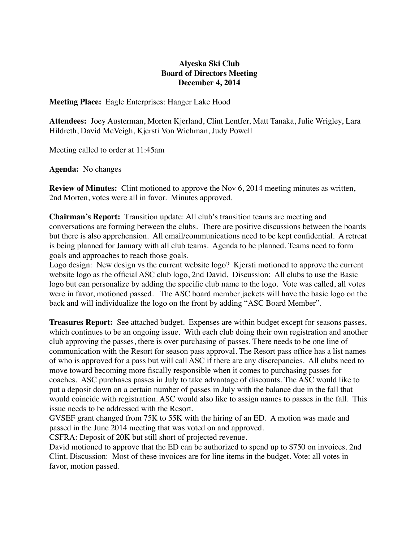## **Alyeska Ski Club Board of Directors Meeting December 4, 2014**

**Meeting Place:** Eagle Enterprises: Hanger Lake Hood

**Attendees:** Joey Austerman, Morten Kjerland, Clint Lentfer, Matt Tanaka, Julie Wrigley, Lara Hildreth, David McVeigh, Kjersti Von Wichman, Judy Powell

Meeting called to order at 11:45am

**Agenda:** No changes

**Review of Minutes:** Clint motioned to approve the Nov 6, 2014 meeting minutes as written, 2nd Morten, votes were all in favor. Minutes approved.

**Chairman's Report:** Transition update: All club's transition teams are meeting and conversations are forming between the clubs. There are positive discussions between the boards but there is also apprehension. All email/communications need to be kept confidential. A retreat is being planned for January with all club teams. Agenda to be planned. Teams need to form goals and approaches to reach those goals.

Logo design: New design vs the current website logo? Kjersti motioned to approve the current website logo as the official ASC club logo, 2nd David. Discussion: All clubs to use the Basic logo but can personalize by adding the specific club name to the logo. Vote was called, all votes were in favor, motioned passed. The ASC board member jackets will have the basic logo on the back and will individualize the logo on the front by adding "ASC Board Member".

**Treasures Report:** See attached budget. Expenses are within budget except for seasons passes, which continues to be an ongoing issue. With each club doing their own registration and another club approving the passes, there is over purchasing of passes. There needs to be one line of communication with the Resort for season pass approval. The Resort pass office has a list names of who is approved for a pass but will call ASC if there are any discrepancies. All clubs need to move toward becoming more fiscally responsible when it comes to purchasing passes for coaches. ASC purchases passes in July to take advantage of discounts. The ASC would like to put a deposit down on a certain number of passes in July with the balance due in the fall that would coincide with registration. ASC would also like to assign names to passes in the fall. This issue needs to be addressed with the Resort.

GVSEF grant changed from 75K to 55K with the hiring of an ED. A motion was made and passed in the June 2014 meeting that was voted on and approved.

CSFRA: Deposit of 20K but still short of projected revenue.

David motioned to approve that the ED can be authorized to spend up to \$750 on invoices. 2nd Clint. Discussion: Most of these invoices are for line items in the budget. Vote: all votes in favor, motion passed.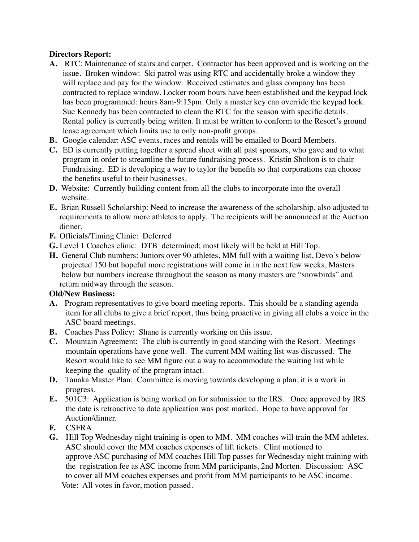## **Directors Report:**

- **A.** RTC: Maintenance of stairs and carpet. Contractor has been approved and is working on the issue. Broken window: Ski patrol was using RTC and accidentally broke a window they will replace and pay for the window. Received estimates and glass company has been contracted to replace window. Locker room hours have been established and the keypad lock has been programmed: hours 8am-9:15pm. Only a master key can override the keypad lock. Sue Kennedy has been contracted to clean the RTC for the season with specific details. Rental policy is currently being written. It must be written to conform to the Resort's ground lease agreement which limits use to only non-profit groups.
- **B.** Google calendar: ASC events, races and rentals will be emailed to Board Members.
- **C.** ED is currently putting together a spread sheet with all past sponsors, who gave and to what program in order to streamline the future fundraising process. Kristin Sholton is to chair Fundraising. ED is developing a way to taylor the benefits so that corporations can choose the benefits useful to their businesses.
- **D.** Website: Currently building content from all the clubs to incorporate into the overall website.
- **E.** Brian Russell Scholarship: Need to increase the awareness of the scholarship, also adjusted to requirements to allow more athletes to apply. The recipients will be announced at the Auction dinner.
- **F.** Officials/Timing Clinic: Deferred
- **G.** Level 1 Coaches clinic: DTB determined; most likely will be held at Hill Top.
- **H.** General Club numbers: Juniors over 90 athletes, MM full with a waiting list, Devo's below projected 150 but hopeful more registrations will come in in the next few weeks, Masters below but numbers increase throughout the season as many masters are "snowbirds" and return midway through the season.

## **Old/New Business:**

- **A.** Program representatives to give board meeting reports. This should be a standing agenda item for all clubs to give a brief report, thus being proactive in giving all clubs a voice in the ASC board meetings.
- **B.** Coaches Pass Policy: Shane is currently working on this issue.
- **C.** Mountain Agreement: The club is currently in good standing with the Resort. Meetings mountain operations have gone well. The current MM waiting list was discussed. The Resort would like to see MM figure out a way to accommodate the waiting list while keeping the quality of the program intact.
- **D.** Tanaka Master Plan: Committee is moving towards developing a plan, it is a work in progress.
- **E.** 501C3: Application is being worked on for submission to the IRS. Once approved by IRS the date is retroactive to date application was post marked. Hope to have approval for Auction/dinner.
- **F.** CSFRA
- **G.** Hill Top Wednesday night training is open to MM. MM coaches will train the MM athletes. ASC should cover the MM coaches expenses of lift tickets. Clint motioned to approve ASC purchasing of MM coaches Hill Top passes for Wednesday night training with the registration fee as ASC income from MM participants, 2nd Morten. Discussion: ASC to cover all MM coaches expenses and profit from MM participants to be ASC income. Vote: All votes in favor, motion passed.